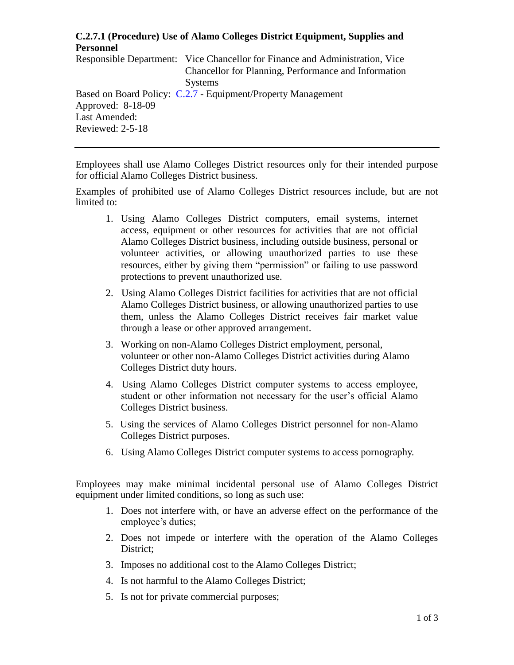## **C.2.7.1 (Procedure) Use of Alamo Colleges District Equipment, Supplies and Personnel**

Responsible Department: Vice Chancellor for Finance and Administration, Vice Chancellor for Planning, Performance and Information Systems Based on Board Policy: [C.2.7](https://www.alamo.edu/siteassets/district/about-us/leadership/board-of-trustees/policies-pdfs/section-c/c.2.7-policy.pdf) - Equipment/Property Management Approved: 8-18-09 Last Amended: Reviewed: 2-5-18

Employees shall use Alamo Colleges District resources only for their intended purpose for official Alamo Colleges District business.

Examples of prohibited use of Alamo Colleges District resources include, but are not limited to:

- 1. Using Alamo Colleges District computers, email systems, internet access, equipment or other resources for activities that are not official Alamo Colleges District business, including outside business, personal or volunteer activities, or allowing unauthorized parties to use these resources, either by giving them "permission" or failing to use password protections to prevent unauthorized use.
- 2. Using Alamo Colleges District facilities for activities that are not official Alamo Colleges District business, or allowing unauthorized parties to use them, unless the Alamo Colleges District receives fair market value through a lease or other approved arrangement.
- 3. Working on non-Alamo Colleges District employment, personal, volunteer or other non-Alamo Colleges District activities during Alamo Colleges District duty hours.
- 4. Using Alamo Colleges District computer systems to access employee, student or other information not necessary for the user's official Alamo Colleges District business.
- 5. Using the services of Alamo Colleges District personnel for non-Alamo Colleges District purposes.
- 6. Using Alamo Colleges District computer systems to access pornography.

Employees may make minimal incidental personal use of Alamo Colleges District equipment under limited conditions, so long as such use:

- 1. Does not interfere with, or have an adverse effect on the performance of the employee's duties;
- 2. Does not impede or interfere with the operation of the Alamo Colleges District;
- 3. Imposes no additional cost to the Alamo Colleges District;
- 4. Is not harmful to the Alamo Colleges District;
- 5. Is not for private commercial purposes;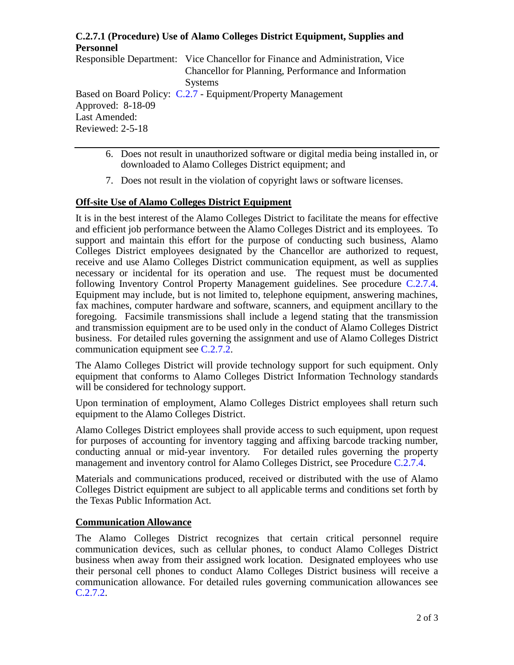# **C.2.7.1 (Procedure) Use of Alamo Colleges District Equipment, Supplies and Personnel**

Responsible Department: Vice Chancellor for Finance and Administration, Vice Chancellor for Planning, Performance and Information Systems Based on Board Policy: [C.2.7](https://www.alamo.edu/siteassets/district/about-us/leadership/board-of-trustees/policies-pdfs/section-c/c.2.7-policy.pdf) - Equipment/Property Management Approved: 8-18-09 Last Amended: Reviewed: 2-5-18

- 6. Does not result in unauthorized software or digital media being installed in, or downloaded to Alamo Colleges District equipment; and
- 7. Does not result in the violation of copyright laws or software licenses.

## **Off-site Use of Alamo Colleges District Equipment**

It is in the best interest of the Alamo Colleges District to facilitate the means for effective and efficient job performance between the Alamo Colleges District and its employees. To support and maintain this effort for the purpose of conducting such business, Alamo Colleges District employees designated by the Chancellor are authorized to request, receive and use Alamo Colleges District communication equipment, as well as supplies necessary or incidental for its operation and use. The request must be documented following Inventory Control Property Management guidelines. See procedure [C.2.7.4.](https://www.alamo.edu/siteassets/district/about-us/leadership/board-of-trustees/policies-pdfs/section-c/c.2.7.4-procedure1.pdf) Equipment may include, but is not limited to, telephone equipment, answering machines, fax machines, computer hardware and software, scanners, and equipment ancillary to the foregoing. Facsimile transmissions shall include a legend stating that the transmission and transmission equipment are to be used only in the conduct of Alamo Colleges District business. For detailed rules governing the assignment and use of Alamo Colleges District communication equipment see [C.2.7.2.](https://www.alamo.edu/siteassets/district/about-us/leadership/board-of-trustees/policies-pdfs/section-c/c.2.7.2-procedure.pdf)

The Alamo Colleges District will provide technology support for such equipment. Only equipment that conforms to Alamo Colleges District Information Technology standards will be considered for technology support.

Upon termination of employment, Alamo Colleges District employees shall return such equipment to the Alamo Colleges District.

Alamo Colleges District employees shall provide access to such equipment, upon request for purposes of accounting for inventory tagging and affixing barcode tracking number, conducting annual or mid-year inventory. For detailed rules governing the property management and inventory control for Alamo Colleges District, see Procedure [C.2.7.4.](https://www.alamo.edu/siteassets/district/about-us/leadership/board-of-trustees/policies-pdfs/section-c/c.2.7.4-procedure1.pdf)

Materials and communications produced, received or distributed with the use of Alamo Colleges District equipment are subject to all applicable terms and conditions set forth by the Texas Public Information Act.

#### **Communication Allowance**

The Alamo Colleges District recognizes that certain critical personnel require communication devices, such as cellular phones, to conduct Alamo Colleges District business when away from their assigned work location. Designated employees who use their personal cell phones to conduct Alamo Colleges District business will receive a communication allowance. For detailed rules governing communication allowances see [C.2.7.2.](https://www.alamo.edu/siteassets/district/about-us/leadership/board-of-trustees/policies-pdfs/section-c/c.2.7.2-procedure.pdf)